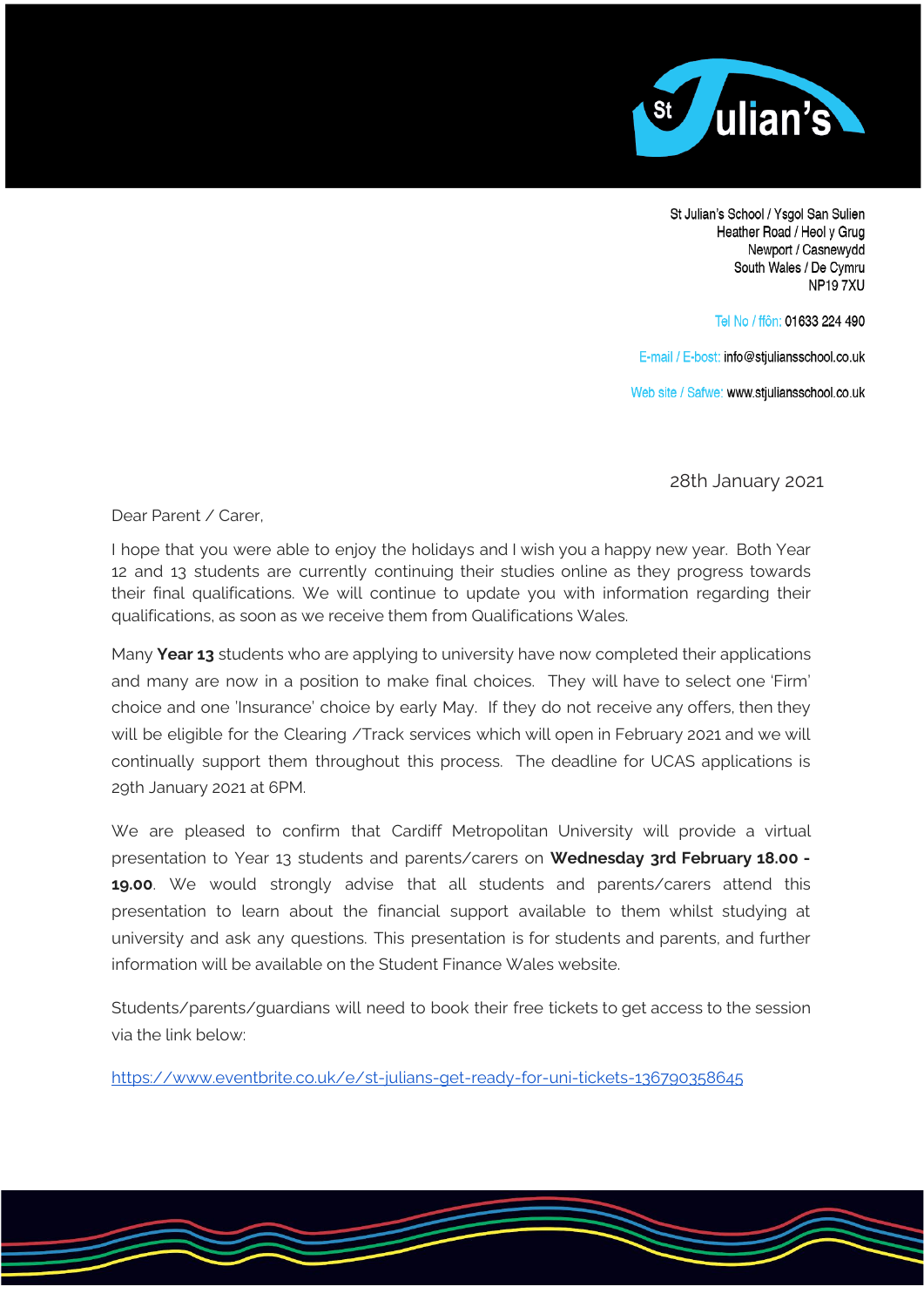

St Julian's School / Ysgol San Sulien Heather Road / Heol y Grug Newport / Casnewydd South Wales / De Cymru **NP197XU** 

Tel No / ffôn: 01633 224 490

E-mail / E-bost: info@stjuliansschool.co.uk

Web site / Safwe: www.stjuliansschool.co.uk

28th January 2021

Dear Parent / Carer,

I hope that you were able to enjoy the holidays and I wish you a happy new year. Both Year 12 and 13 students are currently continuing their studies online as they progress towards their final qualifications. We will continue to update you with information regarding their qualifications, as soon as we receive them from Qualifications Wales.

Many **Year 13** students who are applying to university have now completed their applications and many are now in a position to make final choices. They will have to select one 'Firm' choice and one 'Insurance' choice by early May. If they do not receive any offers, then they will be eligible for the Clearing /Track services which will open in February 2021 and we will continually support them throughout this process. The deadline for UCAS applications is 29th January 2021 at 6PM.

We are pleased to confirm that Cardiff Metropolitan University will provide a virtual presentation to Year 13 students and parents/carers on **Wednesday 3rd February 18.00 - 19.00**. We would strongly advise that all students and parents/carers attend this presentation to learn about the financial support available to them whilst studying at university and ask any questions. This presentation is for students and parents, and further information will be available on the Student Finance Wales website.

Students/parents/guardians will need to book their free tickets to get access to the session via the link below:

<https://www.eventbrite.co.uk/e/st-julians-get-ready-for-uni-tickets-136790358645>